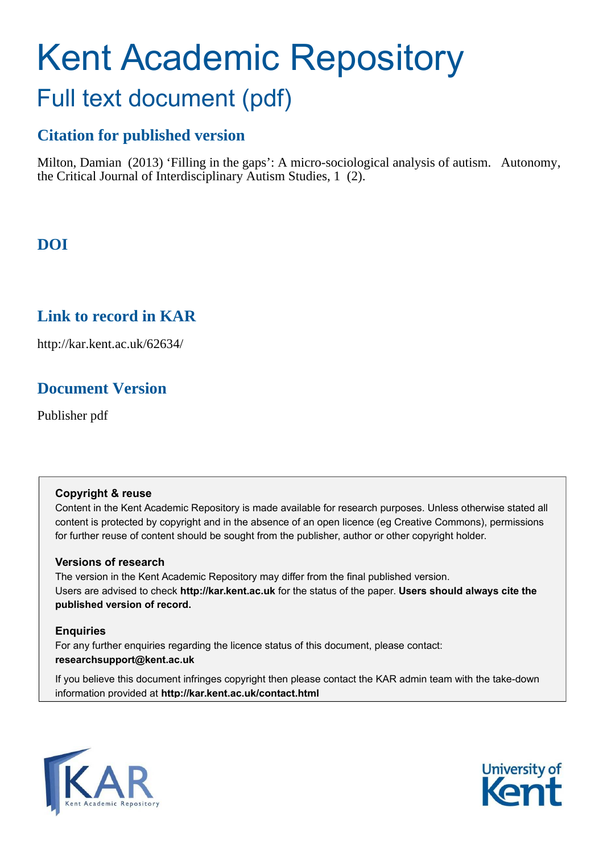## Kent Academic Repository Full text document (pdf)

## **Citation for published version**

Milton, Damian (2013) 'Filling in the gaps': A micro-sociological analysis of autism. Autonomy, the Critical Journal of Interdisciplinary Autism Studies, 1 (2).

## **DOI**

### **Link to record in KAR**

http://kar.kent.ac.uk/62634/

### **Document Version**

Publisher pdf

#### **Copyright & reuse**

Content in the Kent Academic Repository is made available for research purposes. Unless otherwise stated all content is protected by copyright and in the absence of an open licence (eg Creative Commons), permissions for further reuse of content should be sought from the publisher, author or other copyright holder.

#### **Versions of research**

The version in the Kent Academic Repository may differ from the final published version. Users are advised to check **http://kar.kent.ac.uk** for the status of the paper. **Users should always cite the published version of record.**

#### **Enquiries**

For any further enquiries regarding the licence status of this document, please contact: **researchsupport@kent.ac.uk**

If you believe this document infringes copyright then please contact the KAR admin team with the take-down information provided at **http://kar.kent.ac.uk/contact.html**



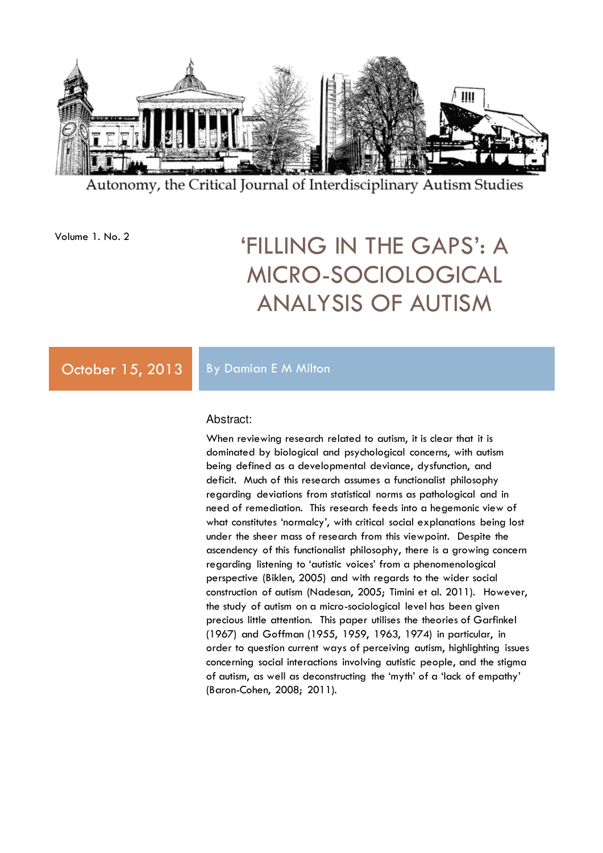

Autonomy, the Critical Journal of Interdisciplinary Autism Studies

## Volume 1. No. 2 'FILLING IN THE GAPS': A MICRO-SOCIOLOGICAL ANALYSIS OF AUTISM

#### October 15, 2013 By Damian E M Milton

#### Abstract:

When reviewing research related to autism, it is clear that it is dominated by biological and psychological concerns, with autism being defined as a developmental deviance, dysfunction, and deficit. Much of this research assumes a functionalist philosophy regarding deviations from statistical norms as pathological and in need of remediation. This research feeds into a hegemonic view of what constitutes 'normalcy', with critical social explanations being lost under the sheer mass of research from this viewpoint. Despite the ascendency of this functionalist philosophy, there is a growing concern regarding listening to 'autistic voices' from a phenomenological perspective (Biklen, 2005) and with regards to the wider social construction of autism (Nadesan, 2005; Timini et al. 2011). However, the study of autism on a micro-sociological level has been given precious little attention. This paper utilises the theories of Garfinkel (1967) and Goffman (1955, 1959, 1963, 1974) in particular, in order to question current ways of perceiving autism, highlighting issues concerning social interactions involving autistic people, and the stigma of autism, as well as deconstructing the 'myth' of a 'lack of empathy' (Baron-Cohen, 2008; 2011).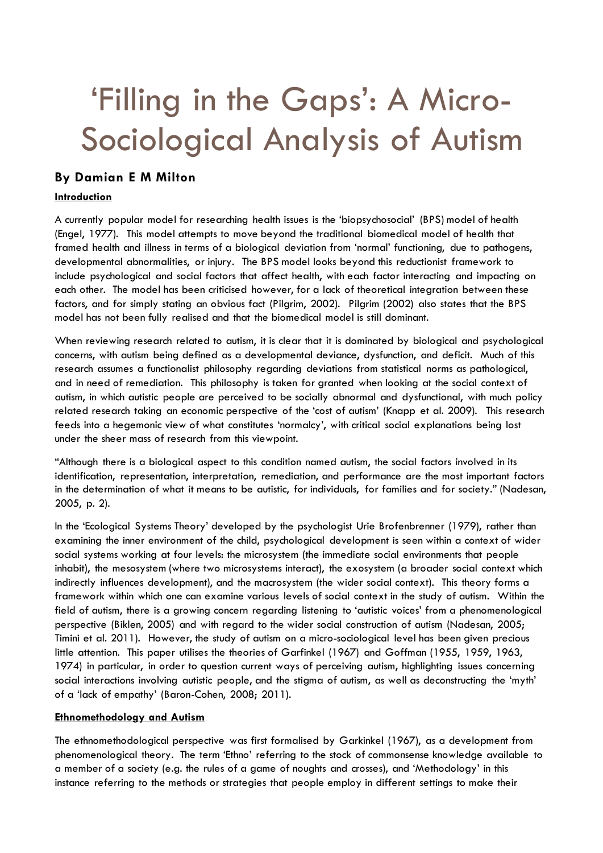# 'Filling in the Gaps': A Micro-Sociological Analysis of Autism

#### **By Damian E M Milton**

#### **Introduction**

A currently popular model for researching health issues is the 'biopsychosocial' (BPS) model of health (Engel, 1977). This model attempts to move beyond the traditional biomedical model of health that framed health and illness in terms of a biological deviation from 'normal' functioning, due to pathogens, developmental abnormalities, or injury. The BPS model looks beyond this reductionist framework to include psychological and social factors that affect health, with each factor interacting and impacting on each other. The model has been criticised however, for a lack of theoretical integration between these factors, and for simply stating an obvious fact (Pilgrim, 2002). Pilgrim (2002) also states that the BPS model has not been fully realised and that the biomedical model is still dominant.

When reviewing research related to autism, it is clear that it is dominated by biological and psychological concerns, with autism being defined as a developmental deviance, dysfunction, and deficit. Much of this research assumes a functionalist philosophy regarding deviations from statistical norms as pathological, and in need of remediation. This philosophy is taken for granted when looking at the social context of autism, in which autistic people are perceived to be socially abnormal and dysfunctional, with much policy related research taking an economic perspective of the 'cost of autism' (Knapp et al. 2009). This research feeds into a hegemonic view of what constitutes 'normalcy', with critical social explanations being lost under the sheer mass of research from this viewpoint.

"Although there is a biological aspect to this condition named autism, the social factors involved in its identification, representation, interpretation, remediation, and performance are the most important factors in the determination of what it means to be autistic, for individuals, for families and for society." (Nadesan, 2005, p. 2).

In the 'Ecological Systems Theory' developed by the psychologist Urie Brofenbrenner (1979), rather than examining the inner environment of the child, psychological development is seen within a context of wider social systems working at four levels: the microsystem (the immediate social environments that people inhabit), the mesosystem (where two microsystems interact), the exosystem (a broader social context which indirectly influences development), and the macrosystem (the wider social context). This theory forms a framework within which one can examine various levels of social context in the study of autism. Within the field of autism, there is a growing concern regarding listening to 'autistic voices' from a phenomenological perspective (Biklen, 2005) and with regard to the wider social construction of autism (Nadesan, 2005; Timini et al. 2011). However, the study of autism on a micro-sociological level has been given precious little attention. This paper utilises the theories of Garfinkel (1967) and Goffman (1955, 1959, 1963, 1974) in particular, in order to question current ways of perceiving autism, highlighting issues concerning social interactions involving autistic people, and the stigma of autism, as well as deconstructing the 'myth' of a 'lack of empathy' (Baron-Cohen, 2008; 2011).

#### **Ethnomethodology and Autism**

The ethnomethodological perspective was first formalised by Garkinkel (1967), as a development from phenomenological theory. The term 'Ethno' referring to the stock of commonsense knowledge available to a member of a society (e.g. the rules of a game of noughts and crosses), and 'Methodology' in this instance referring to the methods or strategies that people employ in different settings to make their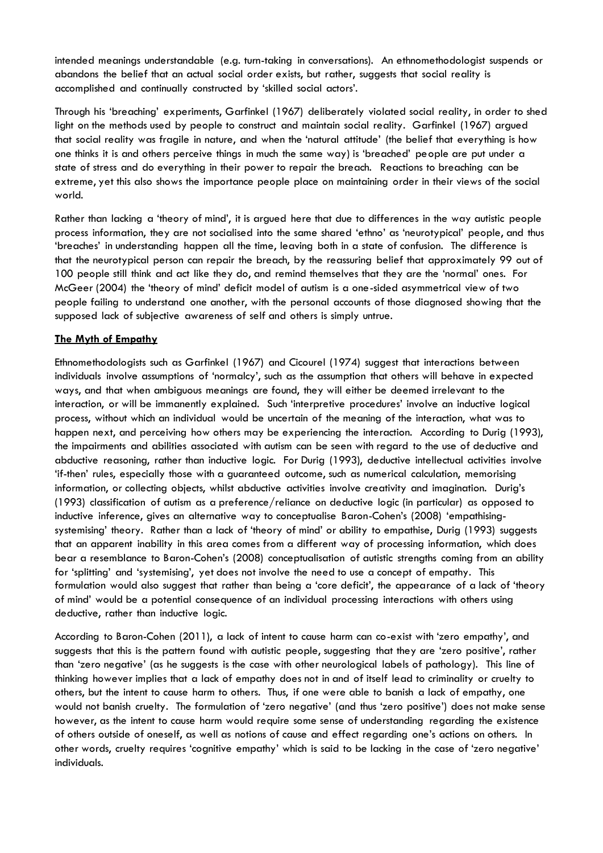intended meanings understandable (e.g. turn-taking in conversations). An ethnomethodologist suspends or abandons the belief that an actual social order exists, but rather, suggests that social reality is accomplished and continually constructed by 'skilled social actors'.

Through his 'breaching' experiments, Garfinkel (1967) deliberately violated social reality, in order to shed light on the methods used by people to construct and maintain social reality. Garfinkel (1967) argued that social reality was fragile in nature, and when the 'natural attitude' (the belief that everything is how one thinks it is and others perceive things in much the same way) is 'breached' people are put under a state of stress and do everything in their power to repair the breach. Reactions to breaching can be extreme, yet this also shows the importance people place on maintaining order in their views of the social world.

Rather than lacking a 'theory of mind', it is argued here that due to differences in the way autistic people process information, they are not socialised into the same shared 'ethno' as 'neurotypical' people, and thus 'breaches' in understanding happen all the time, leaving both in a state of confusion. The difference is that the neurotypical person can repair the breach, by the reassuring belief that approximately 99 out of 100 people still think and act like they do, and remind themselves that they are the 'normal' ones. For McGeer (2004) the 'theory of mind' deficit model of autism is a one-sided asymmetrical view of two people failing to understand one another, with the personal accounts of those diagnosed showing that the supposed lack of subjective awareness of self and others is simply untrue.

#### **The Myth of Empathy**

Ethnomethodologists such as Garfinkel (1967) and Cicourel (1974) suggest that interactions between individuals involve assumptions of 'normalcy', such as the assumption that others will behave in expected ways, and that when ambiguous meanings are found, they will either be deemed irrelevant to the interaction, or will be immanently explained. Such 'interpretive procedures' involve an inductive logical process, without which an individual would be uncertain of the meaning of the interaction, what was to happen next, and perceiving how others may be experiencing the interaction. According to Durig (1993), the impairments and abilities associated with autism can be seen with regard to the use of deductive and abductive reasoning, rather than inductive logic. For Durig (1993), deductive intellectual activities involve 'if-then' rules, especially those with a guaranteed outcome, such as numerical calculation, memorising information, or collecting objects, whilst abductive activities involve creativity and imagination. Durig's (1993) classification of autism as a preference/reliance on deductive logic (in particular) as opposed to inductive inference, gives an alternative way to conceptualise Baron-Cohen's (2008) 'empathisingsystemising' theory. Rather than a lack of 'theory of mind' or ability to empathise, Durig (1993) suggests that an apparent inability in this area comes from a different way of processing information, which does bear a resemblance to Baron-Cohen's (2008) conceptualisation of autistic strengths coming from an ability for 'splitting' and 'systemising', yet does not involve the need to use a concept of empathy. This formulation would also suggest that rather than being a 'core deficit', the appearance of a lack of 'theory of mind' would be a potential consequence of an individual processing interactions with others using deductive, rather than inductive logic.

According to Baron-Cohen (2011), a lack of intent to cause harm can co-exist with 'zero empathy', and suggests that this is the pattern found with autistic people, suggesting that they are 'zero positive', rather than 'zero negative' (as he suggests is the case with other neurological labels of pathology). This line of thinking however implies that a lack of empathy does not in and of itself lead to criminality or cruelty to others, but the intent to cause harm to others. Thus, if one were able to banish a lack of empathy, one would not banish cruelty. The formulation of 'zero negative' (and thus 'zero positive') does not make sense however, as the intent to cause harm would require some sense of understanding regarding the existence of others outside of oneself, as well as notions of cause and effect regarding one's actions on others. In other words, cruelty requires 'cognitive empathy' which is said to be lacking in the case of 'zero negative' individuals.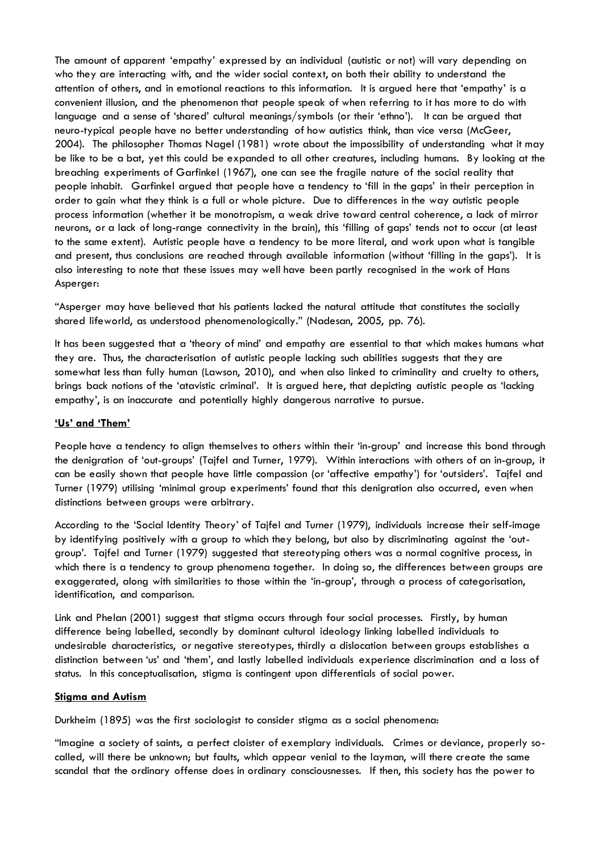The amount of apparent 'empathy' expressed by an individual (autistic or not) will vary depending on who they are interacting with, and the wider social context, on both their ability to understand the attention of others, and in emotional reactions to this information. It is argued here that 'empathy' is a convenient illusion, and the phenomenon that people speak of when referring to it has more to do with language and a sense of 'shared' cultural meanings/symbols (or their 'ethno'). It can be argued that neuro-typical people have no better understanding of how autistics think, than vice versa (McGeer, 2004). The philosopher Thomas Nagel (1981) wrote about the impossibility of understanding what it may be like to be a bat, yet this could be expanded to all other creatures, including humans. By looking at the breaching experiments of Garfinkel (1967), one can see the fragile nature of the social reality that people inhabit. Garfinkel argued that people have a tendency to 'fill in the gaps' in their perception in order to gain what they think is a full or whole picture. Due to differences in the way autistic people process information (whether it be monotropism, a weak drive toward central coherence, a lack of mirror neurons, or a lack of long-range connectivity in the brain), this 'filling of gaps' tends not to occur (at least to the same extent). Autistic people have a tendency to be more literal, and work upon what is tangible and present, thus conclusions are reached through available information (without 'filling in the gaps'). It is also interesting to note that these issues may well have been partly recognised in the work of Hans Asperger:

"Asperger may have believed that his patients lacked the natural attitude that constitutes the socially shared lifeworld, as understood phenomenologically." (Nadesan, 2005, pp. 76).

It has been suggested that a 'theory of mind' and empathy are essential to that which makes humans what they are. Thus, the characterisation of autistic people lacking such abilities suggests that they are somewhat less than fully human (Lawson, 2010), and when also linked to criminality and cruelty to others, brings back notions of the 'atavistic criminal'. It is argued here, that depicting autistic people as 'lacking empathy', is an inaccurate and potentially highly dangerous narrative to pursue.

#### **'Us' and 'Them'**

People have a tendency to align themselves to others within their 'in-group' and increase this bond through the denigration of 'out-groups' (Tajfel and Turner, 1979). Within interactions with others of an in-group, it can be easily shown that people have little compassion (or 'affective empathy') for 'outsiders'. Tajfel and Turner (1979) utilising 'minimal group experiments' found that this denigration also occurred, even when distinctions between groups were arbitrary.

According to the 'Social Identity Theory' of Tajfel and Turner (1979), individuals increase their self-image by identifying positively with a group to which they belong, but also by discriminating against the 'outgroup'. Tajfel and Turner (1979) suggested that stereotyping others was a normal cognitive process, in which there is a tendency to group phenomena together. In doing so, the differences between groups are exaggerated, along with similarities to those within the 'in-group', through a process of categorisation, identification, and comparison.

Link and Phelan (2001) suggest that stigma occurs through four social processes. Firstly, by human difference being labelled, secondly by dominant cultural ideology linking labelled individuals to undesirable characteristics, or negative stereotypes, thirdly a dislocation between groups establishes a distinction between 'us' and 'them', and lastly labelled individuals experience discrimination and a loss of status. In this conceptualisation, stigma is contingent upon differentials of social power.

#### **Stigma and Autism**

Durkheim (1895) was the first sociologist to consider stigma as a social phenomena:

"Imagine a society of saints, a perfect cloister of exemplary individuals. Crimes or deviance, properly socalled, will there be unknown; but faults, which appear venial to the layman, will there create the same scandal that the ordinary offense does in ordinary consciousnesses. If then, this society has the power to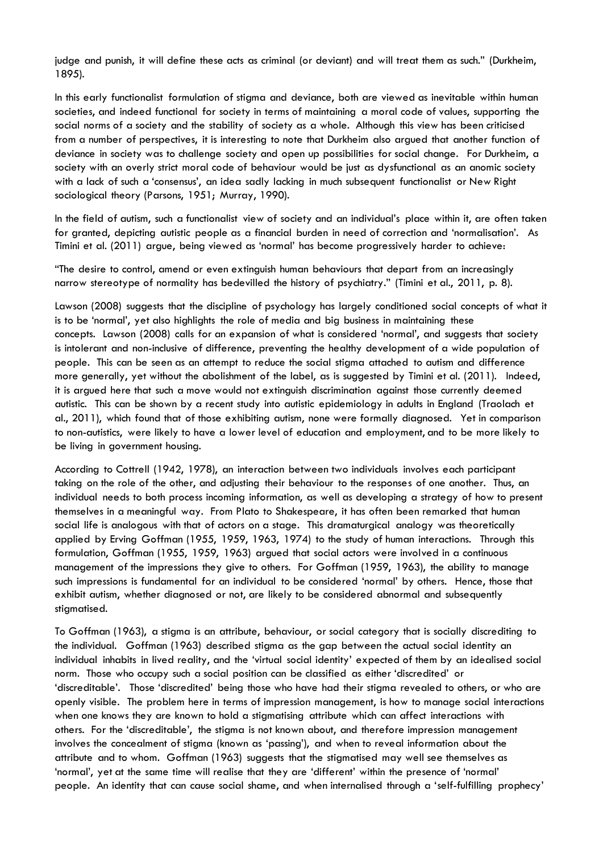judge and punish, it will define these acts as criminal (or deviant) and will treat them as such." (Durkheim, 1895).

In this early functionalist formulation of stigma and deviance, both are viewed as inevitable within human societies, and indeed functional for society in terms of maintaining a moral code of values, supporting the social norms of a society and the stability of society as a whole. Although this view has been criticised from a number of perspectives, it is interesting to note that Durkheim also argued that another function of deviance in society was to challenge society and open up possibilities for social change. For Durkheim, a society with an overly strict moral code of behaviour would be just as dysfunctional as an anomic society with a lack of such a 'consensus', an idea sadly lacking in much subsequent functionalist or New Right sociological theory (Parsons, 1951; Murray, 1990).

In the field of autism, such a functionalist view of society and an individual's place within it, are often taken for granted, depicting autistic people as a financial burden in need of correction and 'normalisation'. As Timini et al. (2011) argue, being viewed as 'normal' has become progressively harder to achieve:

"The desire to control, amend or even extinguish human behaviours that depart from an increasingly narrow stereotype of normality has bedevilled the history of psychiatry." (Timini et al., 2011, p. 8).

Lawson (2008) suggests that the discipline of psychology has largely conditioned social concepts of what it is to be 'normal', yet also highlights the role of media and big business in maintaining these concepts. Lawson (2008) calls for an expansion of what is considered 'normal', and suggests that society is intolerant and non-inclusive of difference, preventing the healthy development of a wide population of people. This can be seen as an attempt to reduce the social stigma attached to autism and difference more generally, yet without the abolishment of the label, as is suggested by Timini et al. (2011). Indeed, it is argued here that such a move would not extinguish discrimination against those currently deemed autistic. This can be shown by a recent study into autistic epidemiology in adults in England (Traolach et al., 2011), which found that of those exhibiting autism, none were formally diagnosed. Yet in comparison to non-autistics, were likely to have a lower level of education and employment, and to be more likely to be living in government housing.

According to Cottrell (1942, 1978), an interaction between two individuals involves each participant taking on the role of the other, and adjusting their behaviour to the responses of one another. Thus, an individual needs to both process incoming information, as well as developing a strategy of how to present themselves in a meaningful way. From Plato to Shakespeare, it has often been remarked that human social life is analogous with that of actors on a stage. This dramaturgical analogy was theoretically applied by Erving Goffman (1955, 1959, 1963, 1974) to the study of human interactions. Through this formulation, Goffman (1955, 1959, 1963) argued that social actors were involved in a continuous management of the impressions they give to others. For Goffman (1959, 1963), the ability to manage such impressions is fundamental for an individual to be considered 'normal' by others. Hence, those that exhibit autism, whether diagnosed or not, are likely to be considered abnormal and subsequently stigmatised.

To Goffman (1963), a stigma is an attribute, behaviour, or social category that is socially discrediting to the individual. Goffman (1963) described stigma as the gap between the actual social identity an individual inhabits in lived reality, and the 'virtual social identity' expected of them by an idealised social norm. Those who occupy such a social position can be classified as either 'discredited' or 'discreditable'. Those 'discredited' being those who have had their stigma revealed to others, or who are openly visible. The problem here in terms of impression management, is how to manage social interactions when one knows they are known to hold a stigmatising attribute which can affect interactions with others. For the 'discreditable', the stigma is not known about, and therefore impression management involves the concealment of stigma (known as 'passing'), and when to reveal information about the attribute and to whom. Goffman (1963) suggests that the stigmatised may well see themselves as 'normal', yet at the same time will realise that they are 'different' within the presence of 'normal' people. An identity that can cause social shame, and when internalised through a 'self-fulfilling prophecy'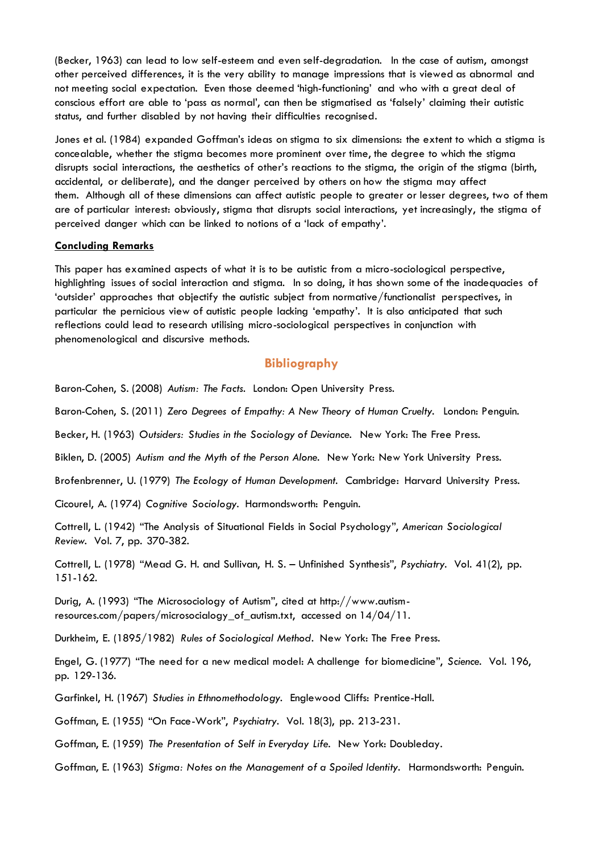(Becker, 1963) can lead to low self-esteem and even self-degradation. In the case of autism, amongst other perceived differences, it is the very ability to manage impressions that is viewed as abnormal and not meeting social expectation. Even those deemed 'high-functioning' and who with a great deal of conscious effort are able to 'pass as normal', can then be stigmatised as 'falsely' claiming their autistic status, and further disabled by not having their difficulties recognised.

Jones et al. (1984) expanded Goffman's ideas on stigma to six dimensions: the extent to which a stigma is concealable, whether the stigma becomes more prominent over time, the degree to which the stigma disrupts social interactions, the aesthetics of other's reactions to the stigma, the origin of the stigma (birth, accidental, or deliberate), and the danger perceived by others on how the stigma may affect them. Although all of these dimensions can affect autistic people to greater or lesser degrees, two of them are of particular interest: obviously, stigma that disrupts social interactions, yet increasingly, the stigma of perceived danger which can be linked to notions of a 'lack of empathy'.

#### **Concluding Remarks**

This paper has examined aspects of what it is to be autistic from a micro-sociological perspective, highlighting issues of social interaction and stigma. In so doing, it has shown some of the inadequacies of 'outsider' approaches that objectify the autistic subject from normative/functionalist perspectives, in particular the pernicious view of autistic people lacking 'empathy'. It is also anticipated that such reflections could lead to research utilising micro-sociological perspectives in conjunction with phenomenological and discursive methods.

#### **Bibliography**

Baron-Cohen, S. (2008) *Autism: The Facts.* London: Open University Press.

Baron-Cohen, S. (2011) *Zero Degrees of Empathy: A New Theory of Human Cruelty.* London: Penguin.

Becker, H. (1963) *Outsiders: Studies in the Sociology of Deviance.* New York: The Free Press.

Biklen, D. (2005) *Autism and the Myth of the Person Alone.* New York: New York University Press.

Brofenbrenner, U. (1979) *The Ecology of Human Development.* Cambridge: Harvard University Press.

Cicourel, A. (1974) *Cognitive Sociology.* Harmondsworth: Penguin.

Cottrell, L. (1942) "The Analysis of Situational Fields in Social Psychology", *American Sociological Review.* Vol. 7, pp. 370-382.

Cottrell, L. (1978) "Mead G. H. and Sullivan, H. S. – Unfinished Synthesis", *Psychiatry.* Vol. 41(2), pp. 151-162.

Durig, A. (1993) "The Microsociology of Autism", cited at http://www.autismresources.com/papers/microsocialogy\_of\_autism.txt, accessed on 14/04/11.

Durkheim, E. (1895/1982) *Rules of Sociological Method*. New York: The Free Press.

Engel, G. (1977) "The need for a new medical model: A challenge for biomedicine", *Science.* Vol. 196, pp. 129-136.

Garfinkel, H. (1967) *Studies in Ethnomethodology.* Englewood Cliffs: Prentice-Hall.

Goffman, E. (1955) "On Face-Work", *Psychiatry.* Vol. 18(3), pp. 213-231.

Goffman, E. (1959) *The Presentation of Self in Everyday Life.* New York: Doubleday.

Goffman, E. (1963) *Stigma: Notes on the Management of a Spoiled Identity.* Harmondsworth: Penguin.